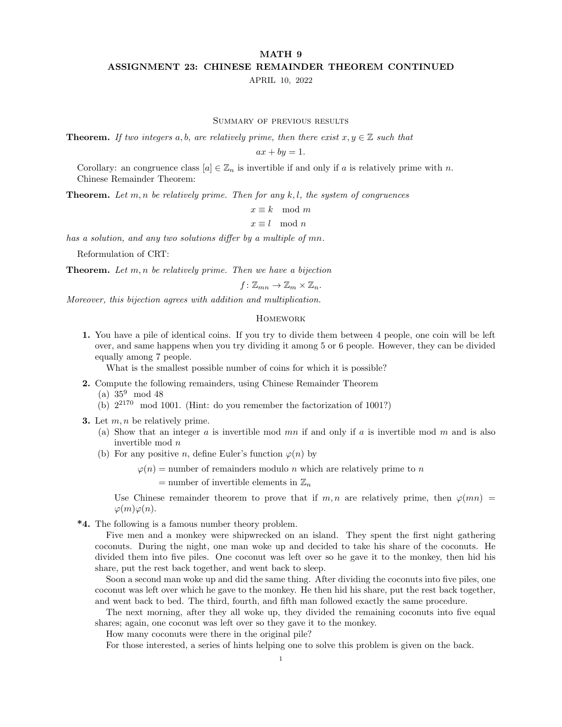## MATH 9 ASSIGNMENT 23: CHINESE REMAINDER THEOREM CONTINUED

APRIL 10, 2022

Summary of previous results

**Theorem.** If two integers a, b, are relatively prime, then there exist  $x, y \in \mathbb{Z}$  such that

 $ax + by = 1.$ 

Corollary: an congruence class  $[a] \in \mathbb{Z}_n$  is invertible if and only if a is relatively prime with n. Chinese Remainder Theorem:

**Theorem.** Let m, n be relatively prime. Then for any  $k, l$ , the system of congruences

 $x \equiv k \mod m$ 

 $x \equiv l \mod n$ 

has a solution, and any two solutions differ by a multiple of mn.

Reformulation of CRT:

**Theorem.** Let  $m, n$  be relatively prime. Then we have a bijection

$$
f\colon \mathbb{Z}_{mn}\to \mathbb{Z}_m\times \mathbb{Z}_n.
$$

Moreover, this bijection agrees with addition and multiplication.

## **HOMEWORK**

1. You have a pile of identical coins. If you try to divide them between 4 people, one coin will be left over, and same happens when you try dividing it among 5 or 6 people. However, they can be divided equally among 7 people.

What is the smallest possible number of coins for which it is possible?

2. Compute the following remainders, using Chinese Remainder Theorem

(a) 35<sup>9</sup> mod 48

- (b)  $2^{2170}$  mod 1001. (Hint: do you remember the factorization of 1001?)
- **3.** Let  $m, n$  be relatively prime.
	- (a) Show that an integer  $a$  is invertible mod  $mn$  if and only if  $a$  is invertible mod  $m$  and is also invertible mod n
	- (b) For any positive *n*, define Euler's function  $\varphi(n)$  by

 $\varphi(n)$  = number of remainders modulo *n* which are relatively prime to *n* 

= number of invertible elements in  $\mathbb{Z}_n$ 

Use Chinese remainder theorem to prove that if m, n are relatively prime, then  $\varphi(mn)$  =  $\varphi(m)\varphi(n)$ .

\*4. The following is a famous number theory problem.

Five men and a monkey were shipwrecked on an island. They spent the first night gathering coconuts. During the night, one man woke up and decided to take his share of the coconuts. He divided them into five piles. One coconut was left over so he gave it to the monkey, then hid his share, put the rest back together, and went back to sleep.

Soon a second man woke up and did the same thing. After dividing the coconuts into five piles, one coconut was left over which he gave to the monkey. He then hid his share, put the rest back together, and went back to bed. The third, fourth, and fifth man followed exactly the same procedure.

The next morning, after they all woke up, they divided the remaining coconuts into five equal shares; again, one coconut was left over so they gave it to the monkey.

How many coconuts were there in the original pile?

For those interested, a series of hints helping one to solve this problem is given on the back.